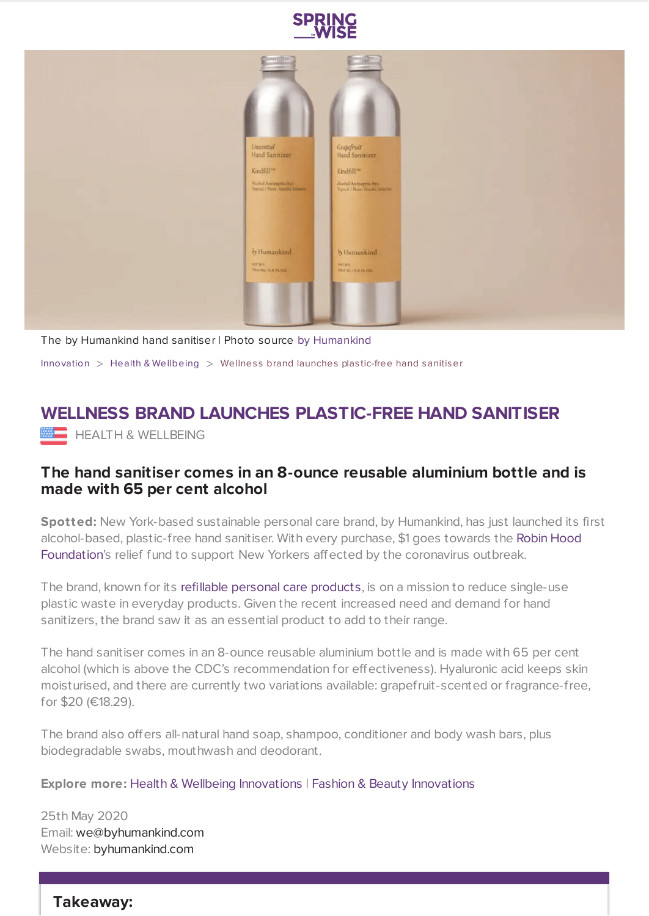

| WAANDEERS<br>$-1000000$<br>Unscented<br>Hand Sanitizer<br>Kindfill <sup>Tw</sup><br>Alcohol Antiseptic 658<br>Tapical / Non-Sterile Solution | 73111<br><b>CONSULTANCE</b><br>Grapefruit<br>Hand Sanitizer<br>Kindfill <sup>TM</sup><br>Alcabal Antiseptic 65x<br>Topical / Non-Sterile Solutist |
|----------------------------------------------------------------------------------------------------------------------------------------------|---------------------------------------------------------------------------------------------------------------------------------------------------|
| by Humankind<br>NITWT.<br>286 ML/8.0 FLOZ.                                                                                                   | by Humankind<br>NIVI.<br><b>266 ML/S.0 FLOZ.</b>                                                                                                  |

The by Humankind hand sanitiser | Photo source by [Humankind](https://byhumankind.com/products/hand-sanitizer) [Innovation](https://www.springwise.com/search?type=innovation)  $>$  Health & [Wellbeing](https://www.springwise.com/search?type=innovation§or=health-wellbeing)  $>$  Wellness brand launches plastic-free hand sanitiser

## **WELLNESS BRAND LAUNCHES PLASTIC-FREE HAND SANITISER**

**HEALTH & WELLBEING** 

## **The hand sanitiser comes in an 8-ounce reusable aluminium bottle and is made with 65 per cent alcohol**

**Spotted:** New York-based sustainable personal care brand, by Humankind, has just launched its first [alcohol-based,](https://give.robinhood.org/give/277117/#!/donation/checkout) plastic-free hand sanitiser. With every purchase, \$1 goes towards the Robin Hood Foundation's relief fund to support New Yorkers affected by the coronavirus outbreak.

The brand, known for its refillable personal care [products,](http://by-humankind.ayph.net/c/249354/595637/9792?subId1=PEO%2CThisWellnessBrandJustLaunchedaPlastic-FreeHandSanitizer%28andItSupportsaGoodCause%29%2Cbutanc%2CHea%2CPos%2C7805613%2C202004%2CI&u=https%3A%2F%2Fbyhumankind.com%2Fcollections%2Fget-started&subId3=xid:fr1589753552325gbb) is on a mission to reduce single-use plastic waste in everyday products. Given the recent increased need and demand for hand sanitizers, the brand saw it as an essential product to add to their range.

The hand sanitiser comes in an 8-ounce reusable aluminium bottle and is made with 65 per cent alcohol (which is above the CDC's recommendation for effectiveness). Hyaluronic acid keeps skin moisturised, and there are currently two variations available: grapefruit-scented or fragrance-free, for \$20 (€18.29).

The brand also offers all-natural hand soap, shampoo, conditioner and body wash bars, plus biodegradable swabs, mouthwash and deodorant.

**Explore more:** Health & Wellbeing [Innovations](https://www.springwise.com/healthcare-and-wellbeing-innovations/) | Fashion & Beauty [Innovations](https://www.springwise.com/fashion-and-beauty-innovations/)

25th May 2020 Email: [we@byhumankind.com](mailto:we@byhumankind.com) Website: [byhumankind.com](https://byhumankind.com/)

**Takeaway:**